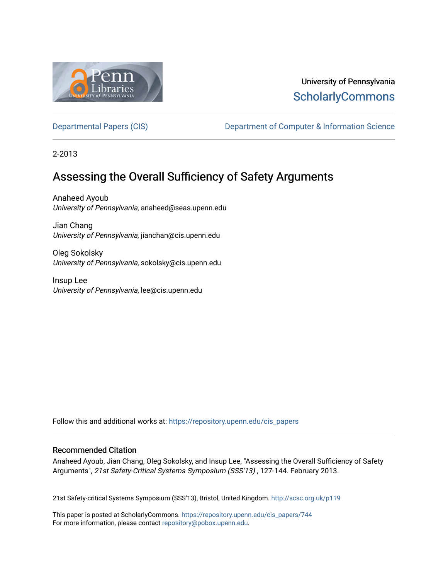

# University of Pennsylvania **ScholarlyCommons**

[Departmental Papers \(CIS\)](https://repository.upenn.edu/cis_papers) Department of Computer & Information Science

2-2013

# Assessing the Overall Sufficiency of Safety Arguments

Anaheed Ayoub University of Pennsylvania, anaheed@seas.upenn.edu

Jian Chang University of Pennsylvania, jianchan@cis.upenn.edu

Oleg Sokolsky University of Pennsylvania, sokolsky@cis.upenn.edu

Insup Lee University of Pennsylvania, lee@cis.upenn.edu

Follow this and additional works at: [https://repository.upenn.edu/cis\\_papers](https://repository.upenn.edu/cis_papers?utm_source=repository.upenn.edu%2Fcis_papers%2F744&utm_medium=PDF&utm_campaign=PDFCoverPages)

## Recommended Citation

Anaheed Ayoub, Jian Chang, Oleg Sokolsky, and Insup Lee, "Assessing the Overall Sufficiency of Safety Arguments", 21st Safety-Critical Systems Symposium (SSS'13) , 127-144. February 2013.

21st Safety-critical Systems Symposium (SSS'13), Bristol, United Kingdom. <http://scsc.org.uk/p119>

This paper is posted at ScholarlyCommons. [https://repository.upenn.edu/cis\\_papers/744](https://repository.upenn.edu/cis_papers/744)  For more information, please contact [repository@pobox.upenn.edu.](mailto:repository@pobox.upenn.edu)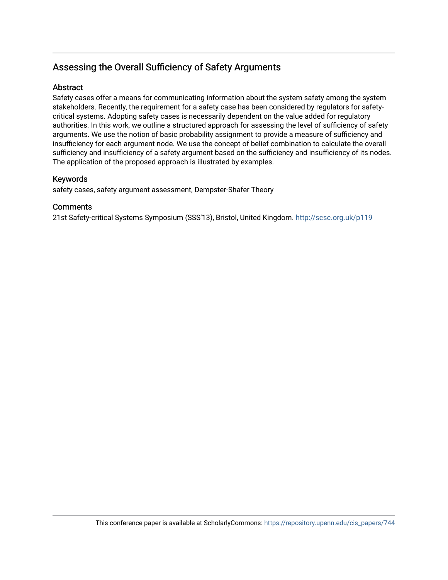## Assessing the Overall Sufficiency of Safety Arguments

## Abstract

Safety cases offer a means for communicating information about the system safety among the system stakeholders. Recently, the requirement for a safety case has been considered by regulators for safetycritical systems. Adopting safety cases is necessarily dependent on the value added for regulatory authorities. In this work, we outline a structured approach for assessing the level of sufficiency of safety arguments. We use the notion of basic probability assignment to provide a measure of sufficiency and insufficiency for each argument node. We use the concept of belief combination to calculate the overall sufficiency and insufficiency of a safety argument based on the sufficiency and insufficiency of its nodes. The application of the proposed approach is illustrated by examples.

## Keywords

safety cases, safety argument assessment, Dempster-Shafer Theory

## **Comments**

21st Safety-critical Systems Symposium (SSS'13), Bristol, United Kingdom.<http://scsc.org.uk/p119>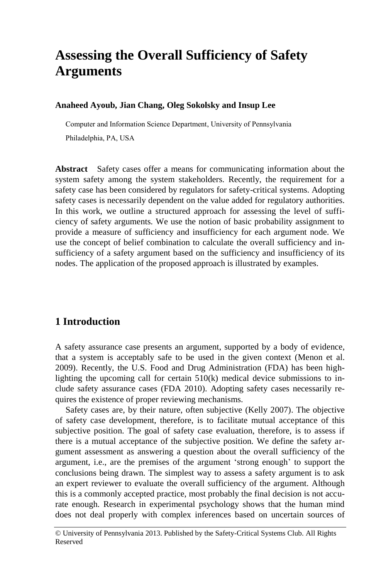# **Assessing the Overall Sufficiency of Safety Arguments**

#### **Anaheed Ayoub, Jian Chang, Oleg Sokolsky and Insup Lee**

Computer and Information Science Department, University of Pennsylvania

Philadelphia, PA, USA

**Abstract** Safety cases offer a means for communicating information about the system safety among the system stakeholders. Recently, the requirement for a safety case has been considered by regulators for safety-critical systems. Adopting safety cases is necessarily dependent on the value added for regulatory authorities. In this work, we outline a structured approach for assessing the level of sufficiency of safety arguments. We use the notion of basic probability assignment to provide a measure of sufficiency and insufficiency for each argument node. We use the concept of belief combination to calculate the overall sufficiency and insufficiency of a safety argument based on the sufficiency and insufficiency of its nodes. The application of the proposed approach is illustrated by examples.

## **1 Introduction**

A safety assurance case presents an argument, supported by a body of evidence, that a system is acceptably safe to be used in the given context (Menon et al. 2009). Recently, the U.S. Food and Drug Administration (FDA) has been highlighting the upcoming call for certain  $510(k)$  medical device submissions to include safety assurance cases (FDA 2010). Adopting safety cases necessarily requires the existence of proper reviewing mechanisms.

Safety cases are, by their nature, often subjective (Kelly 2007). The objective of safety case development, therefore, is to facilitate mutual acceptance of this subjective position. The goal of safety case evaluation, therefore, is to assess if there is a mutual acceptance of the subjective position. We define the safety argument assessment as answering a question about the overall sufficiency of the argument, i.e., are the premises of the argument 'strong enough' to support the conclusions being drawn. The simplest way to assess a safety argument is to ask an expert reviewer to evaluate the overall sufficiency of the argument. Although this is a commonly accepted practice, most probably the final decision is not accurate enough. Research in experimental psychology shows that the human mind does not deal properly with complex inferences based on uncertain sources of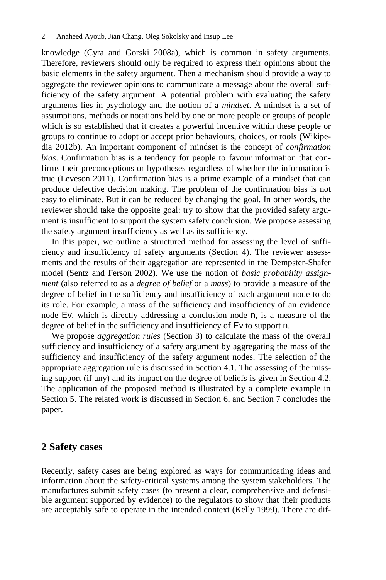knowledge (Cyra and Gorski 2008a), which is common in safety arguments. Therefore, reviewers should only be required to express their opinions about the basic elements in the safety argument. Then a mechanism should provide a way to aggregate the reviewer opinions to communicate a message about the overall sufficiency of the safety argument. A potential problem with evaluating the safety arguments lies in psychology and the notion of a *mindset*. A mindset is a set of assumptions, methods or notations held by one or more people or groups of people which is so established that it creates a powerful incentive within these people or groups to continue to adopt or accept prior behaviours, choices, or tools (Wikipedia 2012b). An important component of mindset is the concept of *confirmation bias*. Confirmation bias is a tendency for people to favour information that confirms their preconceptions or hypotheses regardless of whether the information is true (Leveson 2011). Confirmation bias is a prime example of a mindset that can produce defective decision making. The problem of the confirmation bias is not easy to eliminate. But it can be reduced by changing the goal. In other words, the reviewer should take the opposite goal: try to show that the provided safety argument is insufficient to support the system safety conclusion. We propose assessing the safety argument insufficiency as well as its sufficiency.

In this paper, we outline a structured method for assessing the level of sufficiency and insufficiency of safety arguments (Section 4). The reviewer assessments and the results of their aggregation are represented in the Dempster-Shafer model (Sentz and Ferson 2002). We use the notion of *basic probability assignment* (also referred to as a *degree of belief* or a *mass*) to provide a measure of the degree of belief in the sufficiency and insufficiency of each argument node to do its role. For example, a mass of the sufficiency and insufficiency of an evidence node Ev, which is directly addressing a conclusion node n, is a measure of the degree of belief in the sufficiency and insufficiency of Ev to support n.

We propose *aggregation rules* (Section 3) to calculate the mass of the overall sufficiency and insufficiency of a safety argument by aggregating the mass of the sufficiency and insufficiency of the safety argument nodes. The selection of the appropriate aggregation rule is discussed in Section 4.1. The assessing of the missing support (if any) and its impact on the degree of beliefs is given in Section 4.2. The application of the proposed method is illustrated by a complete example in Section 5. The related work is discussed in Section 6, and Section 7 concludes the paper.

#### **2 Safety cases**

Recently, safety cases are being explored as ways for communicating ideas and information about the safety-critical systems among the system stakeholders. The manufactures submit safety cases (to present a clear, comprehensive and defensible argument supported by evidence) to the regulators to show that their products are acceptably safe to operate in the intended context (Kelly 1999). There are dif-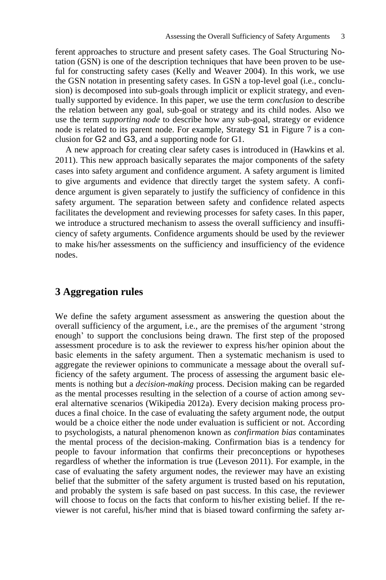ferent approaches to structure and present safety cases. The Goal Structuring Notation  $(\tilde{GSN})$  is one of the description techniques that have been proven to be useful for constructing safety cases (Kelly and Weaver 2004). In this work, we use the GSN notation in presenting safety cases. In GSN a top-level goal (i.e., conclusion) is decomposed into sub-goals through implicit or explicit strategy, and eventually supported by evidence. In this paper, we use the term *conclusion* to describe the relation between any goal, sub-goal or strategy and its child nodes. Also we use the term *supporting node* to describe how any sub-goal, strategy or evidence node is related to its parent node. For example, Strategy S1 in Figure 7 is a conclusion for G2 and G3, and a supporting node for G1.

A new approach for creating clear safety cases is introduced in (Hawkins et al. 2011). This new approach basically separates the major components of the safety cases into safety argument and confidence argument. A safety argument is limited to give arguments and evidence that directly target the system safety. A confidence argument is given separately to justify the sufficiency of confidence in this safety argument. The separation between safety and confidence related aspects facilitates the development and reviewing processes for safety cases. In this paper, we introduce a structured mechanism to assess the overall sufficiency and insufficiency of safety arguments. Confidence arguments should be used by the reviewer to make his/her assessments on the sufficiency and insufficiency of the evidence nodes.

## **3 Aggregation rules**

We define the safety argument assessment as answering the question about the overall sufficiency of the argument, i.e., are the premises of the argument 'strong enough' to support the conclusions being drawn. The first step of the proposed assessment procedure is to ask the reviewer to express his/her opinion about the basic elements in the safety argument. Then a systematic mechanism is used to aggregate the reviewer opinions to communicate a message about the overall sufficiency of the safety argument. The process of assessing the argument basic elements is nothing but a *decision-making* process. Decision making can be regarded as the mental processes resulting in the selection of a course of action among several alternative scenarios (Wikipedia 2012a). Every decision making process produces a final choice. In the case of evaluating the safety argument node, the output would be a choice either the node under evaluation is sufficient or not. According to psychologists, a natural phenomenon known as *confirmation bias* contaminates the mental process of the decision-making. Confirmation bias is a tendency for people to favour information that confirms their preconceptions or hypotheses regardless of whether the information is true (Leveson 2011). For example, in the case of evaluating the safety argument nodes, the reviewer may have an existing belief that the submitter of the safety argument is trusted based on his reputation, and probably the system is safe based on past success. In this case, the reviewer will choose to focus on the facts that conform to his/her existing belief. If the reviewer is not careful, his/her mind that is biased toward confirming the safety ar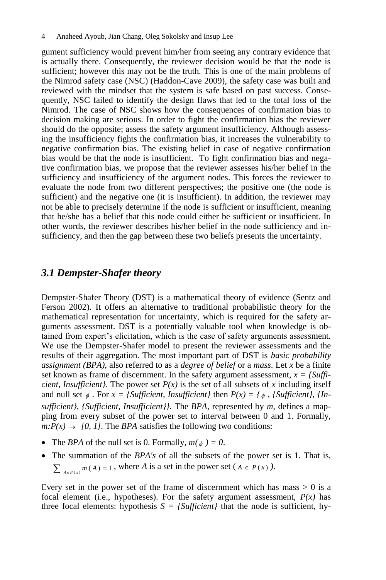gument sufficiency would prevent him/her from seeing any contrary evidence that is actually there. Consequently, the reviewer decision would be that the node is sufficient; however this may not be the truth. This is one of the main problems of the Nimrod safety case (NSC) (Haddon-Cave 2009), the safety case was built and reviewed with the mindset that the system is safe based on past success. Consequently, NSC failed to identify the design flaws that led to the total loss of the Nimrod. The case of NSC shows how the consequences of confirmation bias to decision making are serious. In order to fight the confirmation bias the reviewer should do the opposite; assess the safety argument insufficiency. Although assessing the insufficiency fights the confirmation bias, it increases the vulnerability to negative confirmation bias. The existing belief in case of negative confirmation bias would be that the node is insufficient. To fight confirmation bias and negative confirmation bias, we propose that the reviewer assesses his/her belief in the sufficiency and insufficiency of the argument nodes. This forces the reviewer to evaluate the node from two different perspectives; the positive one (the node is sufficient) and the negative one (it is insufficient). In addition, the reviewer may not be able to precisely determine if the node is sufficient or insufficient, meaning that he/she has a belief that this node could either be sufficient or insufficient. In other words, the reviewer describes his/her belief in the node sufficiency and insufficiency, and then the gap between these two beliefs presents the uncertainty.

### *3.1 Dempster-Shafer theory*

Dempster-Shafer Theory (DST) is a mathematical theory of evidence (Sentz and Ferson 2002). It offers an alternative to traditional probabilistic theory for the mathematical representation for uncertainty, which is required for the safety arguments assessment. DST is a potentially valuable tool when knowledge is obtained from expert's elicitation, which is the case of safety arguments assessment. We use the Dempster-Shafer model to present the reviewer assessments and the results of their aggregation. The most important part of DST is *basic probability assignment (BPA)*, also referred to as a *degree of belief* or a *mass*. Let *x* be a finite set known as frame of discernment. In the safety argument assessment,  $x = \frac{Suffi}{}$ *cient, Insufficient}*. The power set  $P(x)$  is the set of all subsets of x including itself and null set  $\phi$ . For  $x = \{Sufficient, Insufficient\}$  then  $P(x) = \{\phi, \{Sufficient\}, \{In$ *sufficient}, {Sufficient, Insufficient}}.* The *BPA*, represented by *m*, defines a mapping from every subset of the power set to interval between 0 and 1. Formally,  $m: P(x) \to [0, 1]$ . The *BPA* satisfies the following two conditions:

- The *BPA* of the null set is 0. Formally,  $m(\phi) = 0$ .
- The summation of the *BPA's* of all the subsets of the power set is 1. That is,  $\sum_{A \in P(x)} m(A) = 1$ , where *A* is a set in the power set  $(A \in P(x))$ .

Every set in the power set of the frame of discernment which has mass  $> 0$  is a focal element (i.e., hypotheses). For the safety argument assessment,  $P(x)$  has three focal elements: hypothesis  $S = \{Sufficient\}$  that the node is sufficient, hy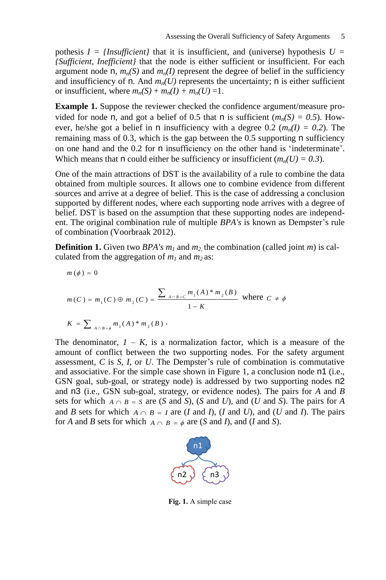pothesis  $I = \{Insufficient\}$  that it is insufficient, and (universe) hypothesis  $U =$ *{Sufficient, Inefficient}* that the node is either sufficient or insufficient. For each argument node n,  $m_n(S)$  and  $m_n(I)$  represent the degree of belief in the sufficiency and insufficiency of n. And  $m_n(U)$  represents the uncertainty; n is either sufficient or insufficient, where  $m_n(S) + m_n(I) + m_n(U) = 1$ .

**Example 1.** Suppose the reviewer checked the confidence argument/measure provided for node n, and got a belief of 0.5 that n is sufficient  $(m_n(S) = 0.5)$ . However, he/she got a belief in n insufficiency with a degree 0.2 ( $m_n(I) = 0.2$ ). The remaining mass of 0.3, which is the gap between the 0.5 supporting  $n$  sufficiency on one hand and the 0.2 for n insufficiency on the other hand is 'indeterminate'. Which means that n could either be sufficiency or insufficient  $(m_n(U) = 0.3)$ .

One of the main attractions of DST is the availability of a rule to combine the data obtained from multiple sources. It allows one to combine evidence from different sources and arrive at a degree of belief. This is the case of addressing a conclusion supported by different nodes, where each supporting node arrives with a degree of belief. DST is based on the assumption that these supporting nodes are independent. The original combination rule of multiple *BPA's* is known as Dempster's rule of combination (Voorbraak 2012).

**Definition 1.** Given two *BPA's m<sup>1</sup>* and *m2,*  the combination (called joint *m*) is calculated from the aggregation of  $m_1$  and  $m_2$  as:

$$
m(\phi) = 0
$$
  

$$
m(C) = m_1(C) \oplus m_2(C) = \frac{\sum_{A \cap B = C} m_1(A) * m_2(B)}{1 - K}
$$
 where  $C \neq \phi$   

$$
K = \sum_{A \cap B = \phi} m_1(A) * m_2(B).
$$

The denominator,  $I - K$ , is a normalization factor, which is a measure of the amount of conflict between the two supporting nodes. For the safety argument assessment, *C* is *S*, *I*, or *U*. The Dempster's rule of combination is commutative and associative. For the simple case shown in Figure 1, a conclusion node n1 (i.e., GSN goal, sub-goal, or strategy node) is addressed by two supporting nodes n2 and n3 (i.e., GSN sub-goal, strategy, or evidence nodes). The pairs for *A* and *B* sets for which  $A \cap B = S$  are (*S* and *S*), (*S* and *U*), and (*U* and *S*). The pairs for *A* and *B* sets for which  $A \cap B = I$  are (*I* and *I*), (*I* and *U*), and (*U* and *I*). The pairs for *A* and *B* sets for which  $A \cap B = \phi$  are (*S* and *I*), and (*I* and *S*).



**Fig. 1.** A simple case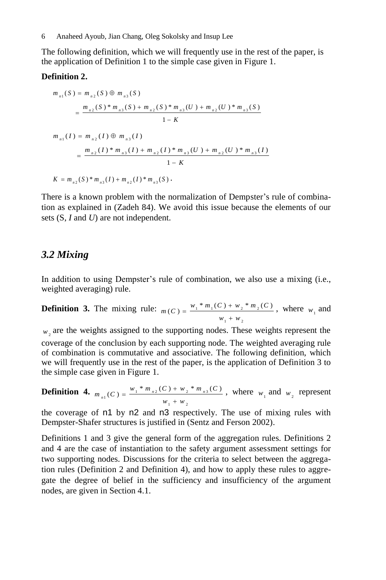The following definition, which we will frequently use in the rest of the paper, is the application of Definition 1 to the simple case given in Figure 1.

#### **Definition 2.**

**limition 2.**  
\n
$$
m_{n1}(S) = m_{n2}(S) \oplus m_{n3}(S)
$$
\n
$$
= \frac{m_{n2}(S) * m_{n3}(S) + m_{n2}(S) * m_{n3}(U) + m_{n2}(U) * m_{n3}(S)}{1 - K}
$$
\n
$$
m_{n1}(I) = m_{n2}(I) \oplus m_{n3}(I)
$$
\n
$$
= \frac{m_{n2}(I) * m_{n3}(I) + m_{n2}(I) * m_{n3}(U) + m_{n2}(U) * m_{n3}(I)}{1 - K}
$$
\n
$$
K = m_{n2}(S) * m_{n3}(I) + m_{n2}(I) * m_{n3}(S).
$$

There is a known problem with the normalization of Dempster's rule of combination as explained in (Zadeh 84). We avoid this issue because the elements of our sets (S, *I* and *U*) are not independent.

## *3.2 Mixing*

In addition to using Dempster's rule of combination, we also use a mixing (i.e., weighted averaging) rule.

**Definition 3.** The mixing rule:  $_{m(C) = \frac{w_1 * m_1(C) + w_2 * m_2}{m_1}}$  $1 + w_2$  $m(C) = \frac{w_1 * m_1(C) + w_2 * m_2(C)}{m}$  $=\frac{w_1 * m_1(C) + w}{w_1 + w}$  $\ddot{}$ , where  $w_1$  and

 $w_2$  are the weights assigned to the supporting nodes. These weights represent the coverage of the conclusion by each supporting node. The weighted averaging rule of combination is commutative and associative. The following definition, which we will frequently use in the rest of the paper, is the application of Definition 3 to the simple case given in Figure 1.

**Definition 4.** 
$$
m_{n1}(C) = \frac{w_1 * m_{n2}(C) + w_2 * m_{n3}(C)}{w_1 + w_2}
$$
, where  $w_1$  and  $w_2$  represent

the coverage of n1 by n2 and n3 respectively. The use of mixing rules with Dempster-Shafer structures is justified in (Sentz and Ferson 2002).

Definitions 1 and 3 give the general form of the aggregation rules. Definitions 2 and 4 are the case of instantiation to the safety argument assessment settings for two supporting nodes. Discussions for the criteria to select between the aggregation rules (Definition 2 and Definition 4), and how to apply these rules to aggregate the degree of belief in the sufficiency and insufficiency of the argument nodes, are given in Section 4.1.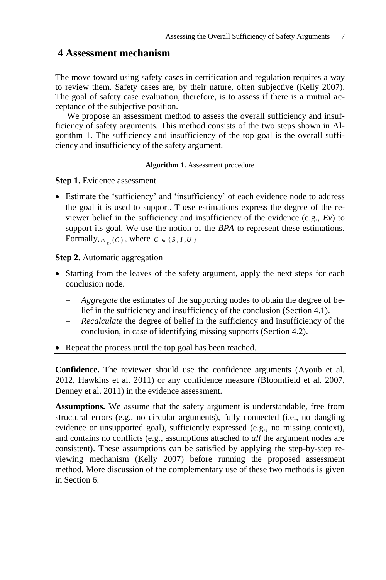## **4 Assessment mechanism**

The move toward using safety cases in certification and regulation requires a way to review them. Safety cases are, by their nature, often subjective (Kelly 2007). The goal of safety case evaluation, therefore, is to assess if there is a mutual acceptance of the subjective position.

We propose an assessment method to assess the overall sufficiency and insufficiency of safety arguments. This method consists of the two steps shown in Algorithm 1. The sufficiency and insufficiency of the top goal is the overall sufficiency and insufficiency of the safety argument.

#### **Algorithm 1.** Assessment procedure

**Step 1.** Evidence assessment

 Estimate the 'sufficiency' and 'insufficiency' of each evidence node to address the goal it is used to support. These estimations express the degree of the reviewer belief in the sufficiency and insufficiency of the evidence (e.g., *Ev*) to support its goal. We use the notion of the *BPA* to represent these estimations. Formally,  $m_{E_v}(C)$ , where  $C \in \{S, I, U\}$ .

**Step 2.** Automatic aggregation

- Starting from the leaves of the safety argument, apply the next steps for each conclusion node.
	- *Aggregate* the estimates of the supporting nodes to obtain the degree of belief in the sufficiency and insufficiency of the conclusion (Section 4.1).
	- *Recalculate* the degree of belief in the sufficiency and insufficiency of the conclusion, in case of identifying missing supports (Section 4.2).
- Repeat the process until the top goal has been reached.

**Confidence.** The reviewer should use the confidence arguments (Ayoub et al. 2012, Hawkins et al. 2011) or any confidence measure (Bloomfield et al. 2007, Denney et al. 2011) in the evidence assessment.

**Assumptions.** We assume that the safety argument is understandable, free from structural errors (e.g., no circular arguments), fully connected (i.e., no dangling evidence or unsupported goal), sufficiently expressed (e.g., no missing context), and contains no conflicts (e.g., assumptions attached to *all* the argument nodes are consistent). These assumptions can be satisfied by applying the step-by-step reviewing mechanism (Kelly 2007) before running the proposed assessment method. More discussion of the complementary use of these two methods is given in Section 6.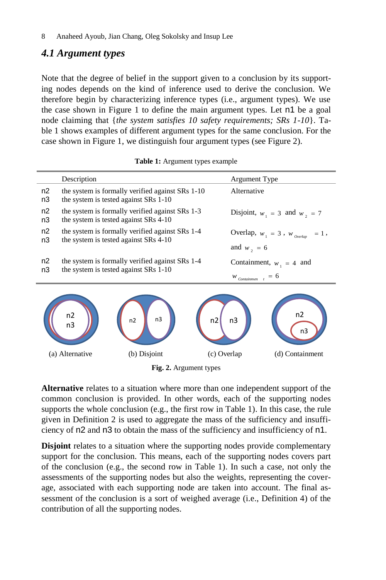## *4.1 Argument types*

Note that the degree of belief in the support given to a conclusion by its supporting nodes depends on the kind of inference used to derive the conclusion. We therefore begin by characterizing inference types (i.e., argument types). We use the case shown in Figure 1 to define the main argument types. Let n1 be a goal node claiming that {*the system satisfies 10 safety requirements; SRs 1-10*}. Table 1 shows examples of different argument types for the same conclusion. For the case shown in Figure 1, we distinguish four argument types (see Figure 2).

|          | Description                                                                               | Argument Type                                                    |  |  |
|----------|-------------------------------------------------------------------------------------------|------------------------------------------------------------------|--|--|
| n2<br>n3 | the system is formally verified against SRs 1-10<br>the system is tested against SRs 1-10 | Alternative                                                      |  |  |
| n2<br>n3 | the system is formally verified against SRs 1-3<br>the system is tested against SRs 4-10  | Disjoint, $w_1 = 3$ and $w_2 = 7$                                |  |  |
| n2<br>n3 | the system is formally verified against SRs 1-4<br>the system is tested against SRs 4-10  | Overlap, $w_1 = 3$ , $w_0$ <sub>overlap</sub><br>$= 1,$          |  |  |
|          |                                                                                           | and $w_2 = 6$                                                    |  |  |
| n2<br>n3 | the system is formally verified against SRs 1-4<br>the system is tested against SRs 1-10  | Containment, $w_1 = 4$ and<br>$W_{\text{Container} \atop t} = 6$ |  |  |
|          |                                                                                           |                                                                  |  |  |

|  |  | Table 1: Argument types example |  |  |
|--|--|---------------------------------|--|--|
|--|--|---------------------------------|--|--|



**Fig. 2.** Argument types

**Alternative** relates to a situation where more than one independent support of the common conclusion is provided. In other words, each of the supporting nodes supports the whole conclusion (e.g., the first row in Table 1). In this case, the rule given in Definition 2 is used to aggregate the mass of the sufficiency and insufficiency of n2 and n3 to obtain the mass of the sufficiency and insufficiency of n1.

**Disjoint** relates to a situation where the supporting nodes provide complementary support for the conclusion. This means, each of the supporting nodes covers part of the conclusion (e.g., the second row in Table 1). In such a case, not only the assessments of the supporting nodes but also the weights, representing the coverage, associated with each supporting node are taken into account. The final assessment of the conclusion is a sort of weighed average (i.e., Definition 4) of the contribution of all the supporting nodes.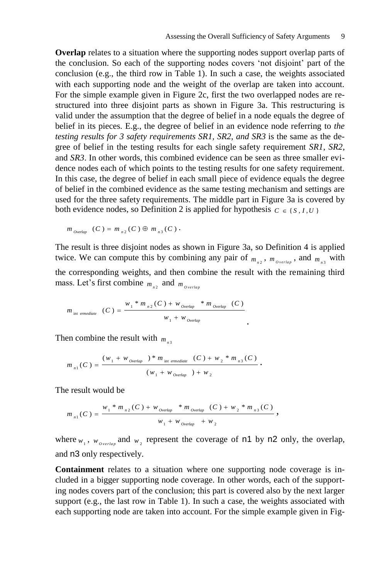**Overlap** relates to a situation where the supporting nodes support overlap parts of the conclusion. So each of the supporting nodes covers 'not disjoint' part of the conclusion (e.g., the third row in Table 1). In such a case, the weights associated with each supporting node and the weight of the overlap are taken into account. For the simple example given in Figure 2c, first the two overlapped nodes are restructured into three disjoint parts as shown in Figure 3a. This restructuring is valid under the assumption that the degree of belief in a node equals the degree of belief in its pieces. E.g., the degree of belief in an evidence node referring to *the testing results for 3 safety requirements SR1, SR2, and SR3* is the same as the degree of belief in the testing results for each single safety requirement *SR1*, *SR2*, and *SR3*. In other words, this combined evidence can be seen as three smaller evidence nodes each of which points to the testing results for one safety requirement. In this case, the degree of belief in each small piece of evidence equals the degree of belief in the combined evidence as the same testing mechanism and settings are used for the three safety requirements. The middle part in Figure 3a is covered by both evidence nodes, so Definition 2 is applied for hypothesis  $C \in \{S, I, U\}$ 

$$
m_{\text{Overlap}}(C) = m_{n^2}(C) \oplus m_{n^3}(C)
$$
.

The result is three disjoint nodes as shown in Figure 3a, so Definition 4 is applied twice. We can compute this by combining any pair of  $m_{n_2}$ ,  $m_{\text{overlap}}$ , and  $m_{n_3}$  with the corresponding weights, and then combine the result with the remaining third mass. Let's first combine  $m_{n_2}$  and  $m_{overlap}$ 

.

$$
m_{\text{int emediate}}(C) = \frac{w_1 * m_{n2}(C) + w_{\text{overlap}} * m_{\text{overlap}}(C)}{w_1 + w_{\text{overlap}}}
$$

Then combine the result with  $m_{n_3}$ 

$$
m_{n1}(C) = \frac{(w_1 + w_{\text{Overlap}}) * m_{\text{int emrediate}}(C) + w_2 * m_{n3}(C)}{(w_1 + w_{\text{Overlap}}) + w_2}.
$$

The result would be

$$
m_{n1}(C) = \frac{w_1 * m_{n2}(C) + w_{overlap} * m_{overlap}(C) + w_2 * m_{n3}(C)}{w_1 + w_{overlap} + w_2},
$$

where  $w_1$ ,  $w_0$ <sub>verlap</sub> and  $w_2$  represent the coverage of n1 by n2 only, the overlap, and n3 only respectively.

**Containment** relates to a situation where one supporting node coverage is included in a bigger supporting node coverage. In other words, each of the supporting nodes covers part of the conclusion; this part is covered also by the next larger support (e.g., the last row in Table 1). In such a case, the weights associated with each supporting node are taken into account. For the simple example given in Fig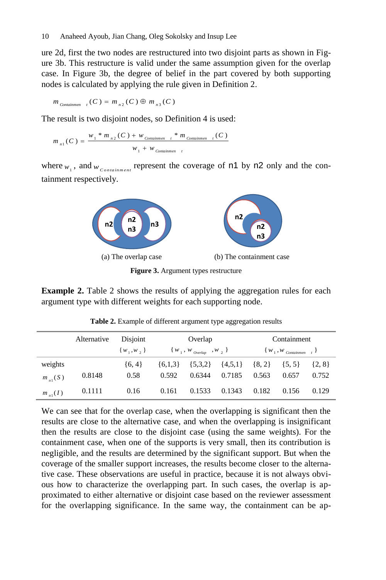ure 2d, first the two nodes are restructured into two disjoint parts as shown in Figure 3b. This restructure is valid under the same assumption given for the overlap case. In Figure 3b, the degree of belief in the part covered by both supporting nodes is calculated by applying the rule given in Definition 2.

$$
m_{\text{Continmen} \atop \text{Continuum} \atop t} (C) = m_{n2}(C) \oplus m_{n3}(C)
$$

The result is two disjoint nodes, so Definition 4 is used:

$$
m_{n1}(C) = \frac{w_1 * m_{n2}(C) + w_{\text{Continament}} + m_{\text{Continament}}(C)}{w_1 + w_{\text{Continament}} + w_{\text{Continament}}}
$$

where  $w_1$ , and  $w_{\text{Constant} + \text{m} + \text{m}}$  represent the coverage of n1 by n2 only and the containment respectively.



**Figure 3.** Argument types restructure

**Example 2.** Table 2 shows the results of applying the aggregation rules for each argument type with different weights for each supporting node.

|              | Alternative | Disjoint      | Overlap                            |             | Containment |                                 |            |            |
|--------------|-------------|---------------|------------------------------------|-------------|-------------|---------------------------------|------------|------------|
|              |             | $\{w_1,w_2\}$ | $\{w_1, w_{\text{overlap}}, w_2\}$ |             |             | $\{W_1, W_{\text{Continmen}}\}$ |            |            |
| weights      |             | ${6, 4}$      | $\{6,1,3\}$                        | $\{5,3,2\}$ | $\{4,5,1\}$ | $\{8, 2\}$                      | $\{5, 5\}$ | $\{2, 8\}$ |
| $m_{-1}(S)$  | 0.8148      | 0.58          | 0.592                              | 0.6344      | 0.7185      | 0.563                           | 0.657      | 0.752      |
| $m_{n_1}(I)$ | 0.1111      | 0.16          | 0.161                              | 0.1533      | 0.1343      | 0.182                           | 0.156      | 0.129      |

**Table 2.** Example of different argument type aggregation results

We can see that for the overlap case, when the overlapping is significant then the results are close to the alternative case, and when the overlapping is insignificant then the results are close to the disjoint case (using the same weights). For the containment case, when one of the supports is very small, then its contribution is negligible, and the results are determined by the significant support. But when the coverage of the smaller support increases, the results become closer to the alternative case. These observations are useful in practice, because it is not always obvious how to characterize the overlapping part. In such cases, the overlap is approximated to either alternative or disjoint case based on the reviewer assessment for the overlapping significance. In the same way, the containment can be ap-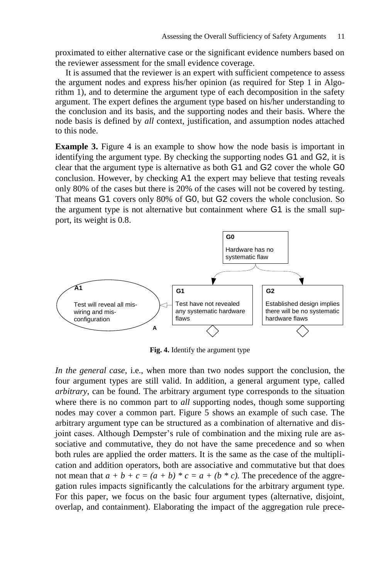proximated to either alternative case or the significant evidence numbers based on the reviewer assessment for the small evidence coverage.

It is assumed that the reviewer is an expert with sufficient competence to assess the argument nodes and express his/her opinion (as required for Step 1 in Algorithm 1), and to determine the argument type of each decomposition in the safety argument. The expert defines the argument type based on his/her understanding to the conclusion and its basis, and the supporting nodes and their basis. Where the node basis is defined by *all* context, justification, and assumption nodes attached to this node.

**Example 3.** Figure 4 is an example to show how the node basis is important in identifying the argument type. By checking the supporting nodes G1 and G2, it is clear that the argument type is alternative as both G1 and G2 cover the whole G0 conclusion. However, by checking A1 the expert may believe that testing reveals only 80% of the cases but there is 20% of the cases will not be covered by testing. That means G1 covers only 80% of G0, but G2 covers the whole conclusion. So the argument type is not alternative but containment where G1 is the small support, its weight is 0.8.



**Fig. 4.** Identify the argument type

*In the general case*, i.e., when more than two nodes support the conclusion, the four argument types are still valid. In addition, a general argument type, called *arbitrary*, can be found. The arbitrary argument type corresponds to the situation where there is no common part to *all* supporting nodes, though some supporting nodes may cover a common part. Figure 5 shows an example of such case. The arbitrary argument type can be structured as a combination of alternative and disjoint cases. Although Dempster's rule of combination and the mixing rule are associative and commutative, they do not have the same precedence and so when both rules are applied the order matters. It is the same as the case of the multiplication and addition operators, both are associative and commutative but that does not mean that  $a + b + c = (a + b) * c = a + (b * c)$ . The precedence of the aggregation rules impacts significantly the calculations for the arbitrary argument type. For this paper, we focus on the basic four argument types (alternative, disjoint, overlap, and containment). Elaborating the impact of the aggregation rule prece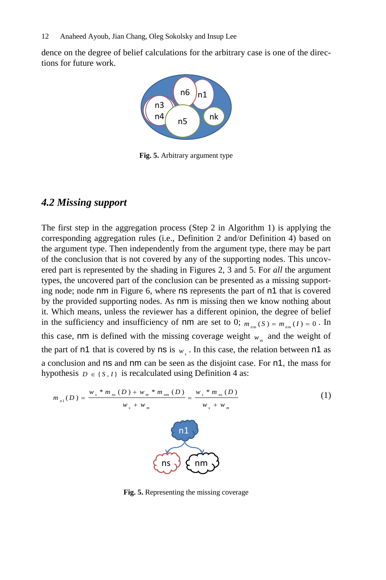dence on the degree of belief calculations for the arbitrary case is one of the directions for future work.



**Fig. 5.** Arbitrary argument type

### *4.2 Missing support*

The first step in the aggregation process (Step 2 in Algorithm 1) is applying the corresponding aggregation rules (i.e., Definition 2 and/or Definition 4) based on the argument type. Then independently from the argument type, there may be part of the conclusion that is not covered by any of the supporting nodes. This uncovered part is represented by the shading in Figures 2, 3 and 5. For *all* the argument types, the uncovered part of the conclusion can be presented as a missing supporting node; node nm in Figure 6, where ns represents the part of n1 that is covered by the provided supporting nodes. As nm is missing then we know nothing about it. Which means, unless the reviewer has a different opinion, the degree of belief in the sufficiency and insufficiency of nm are set to 0;  $m_{nm}(S) = m_{nm}(I) = 0$ . In this case, nm is defined with the missing coverage weight  $w_m$  and the weight of the part of  $n1$  that is covered by  $ns$  is  $w<sub>s</sub>$ . In this case, the relation between  $n1$  as a conclusion and ns and nm can be seen as the disjoint case. For n1, the mass for hypothesis  $D \in \{S, I\}$  is recalculated using Definition 4 as:

$$
m_{n1}(D) = \frac{w_{s} * m_{ns}(D) + w_{m} * m_{nm}(D)}{w_{s} + w_{m}}
$$
 (1)

**Fig. 5.** Representing the missing coverage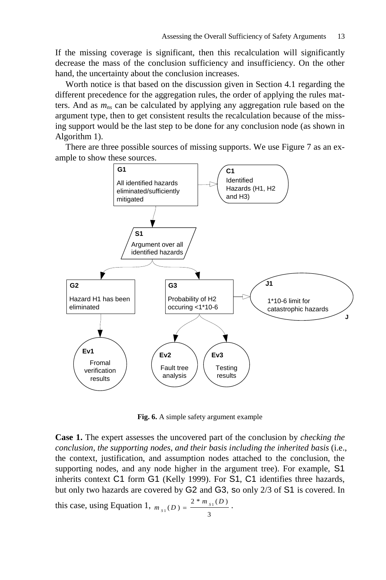If the missing coverage is significant, then this recalculation will significantly decrease the mass of the conclusion sufficiency and insufficiency. On the other hand, the uncertainty about the conclusion increases.

Worth notice is that based on the discussion given in Section 4.1 regarding the different precedence for the aggregation rules, the order of applying the rules matters. And as *mns* can be calculated by applying any aggregation rule based on the argument type, then to get consistent results the recalculation because of the missing support would be the last step to be done for any conclusion node (as shown in Algorithm 1).

There are three possible sources of missing supports. We use Figure 7 as an example to show these sources.



**Fig. 6.** A simple safety argument example

**Case 1.** The expert assesses the uncovered part of the conclusion by *checking the conclusion, the supporting nodes, and their basis including the inherited basis* (i.e., the context, justification, and assumption nodes attached to the conclusion, the supporting nodes, and any node higher in the argument tree). For example, S1 inherits context C1 form G1 (Kelly 1999). For S1, C1 identifies three hazards, but only two hazards are covered by G2 and G3, so only 2/3 of S1 is covered. In

this case, using Equation 1, 3  $_1(D) = \frac{2 * m_{s_1}(D)}{2}$  $m_{s_1}(D) = \frac{2 * m_{s_1}(D)}{D}.$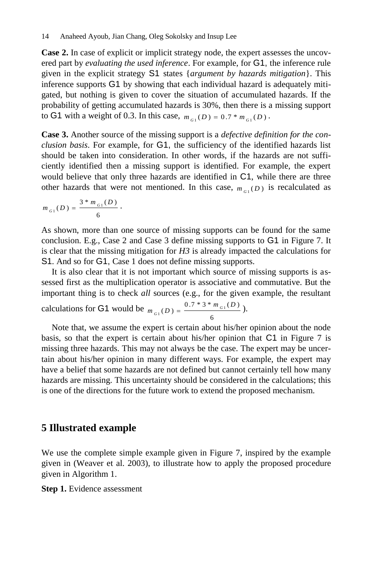**Case 2.** In case of explicit or implicit strategy node, the expert assesses the uncovered part by *evaluating the used inference*. For example, for G1, the inference rule given in the explicit strategy S1 states {*argument by hazards mitigation*}. This inference supports G1 by showing that each individual hazard is adequately mitigated, but nothing is given to cover the situation of accumulated hazards. If the probability of getting accumulated hazards is 30%, then there is a missing support to G1 with a weight of 0.3. In this case,  $m_{G_1}(D) = 0.7 * m_{G_1}(D)$ .

**Case 3.** Another source of the missing support is a *defective definition for the conclusion basis*. For example, for G1, the sufficiency of the identified hazards list should be taken into consideration. In other words, if the hazards are not sufficiently identified then a missing support is identified. For example, the expert would believe that only three hazards are identified in C1, while there are three other hazards that were not mentioned. In this case,  $m_{G_1}(D)$  is recalculated as

$$
m_{_{G1}}(D)=\frac{3\ast m_{_{G1}}(D)}{6}\cdot
$$

As shown, more than one source of missing supports can be found for the same conclusion. E.g., Case 2 and Case 3 define missing supports to G1 in Figure 7. It is clear that the missing mitigation for  $H3$  is already impacted the calculations for S1. And so for G1, Case 1 does not define missing supports.

It is also clear that it is not important which source of missing supports is assessed first as the multiplication operator is associative and commutative. But the important thing is to check *all* sources (e.g., for the given example, the resultant

calculations for G1 would be 6  $_1(D) = \frac{0.7 * 3 * m_{G_1}(D)}{2}$  $m_{G_1}(D) = \frac{0.7 * 3 * m_{G_1}(D)}{2}.$ 

Note that, we assume the expert is certain about his/her opinion about the node basis, so that the expert is certain about his/her opinion that C1 in Figure 7 is missing three hazards. This may not always be the case. The expert may be uncertain about his/her opinion in many different ways. For example, the expert may have a belief that some hazards are not defined but cannot certainly tell how many hazards are missing. This uncertainty should be considered in the calculations; this is one of the directions for the future work to extend the proposed mechanism.

## **5 Illustrated example**

We use the complete simple example given in Figure 7, inspired by the example given in (Weaver et al. 2003), to illustrate how to apply the proposed procedure given in Algorithm 1.

**Step 1.** Evidence assessment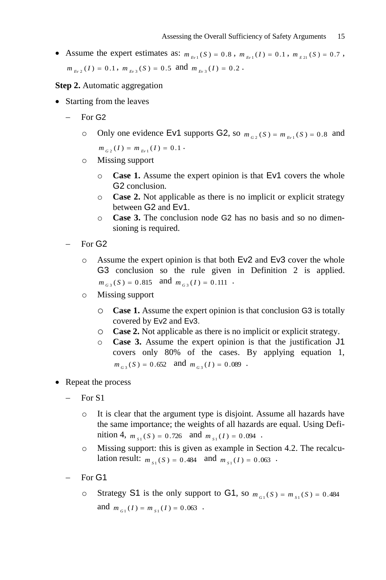- Assume the expert estimates as:  $m_{E_v} (S) = 0.8$ ,  $m_{E_v} (I) = 0.1$ ,  $m_{E_{21}} (S) = 0.7$ ,  $m_{Ev_2}(I) = 0.1$ ,  $m_{Ev_3}(S) = 0.5$  and  $m_{Ev_3}(I) = 0.2$ .
- **Step 2.** Automatic aggregation
- Starting from the leaves
	- For G2
		- o Only one evidence Ev1 supports G2, so  $m_{G_2}(S) = m_{E_1}(S) = 0.8$  and  $m_{G_2}(I) = m_{E_1}(I) = 0.1$
		- o Missing support
			- o **Case 1.** Assume the expert opinion is that Ev1 covers the whole G2 conclusion.
			- o **Case 2.** Not applicable as there is no implicit or explicit strategy between G2 and Ev1.
			- o **Case 3.** The conclusion node G2 has no basis and so no dimensioning is required.
	- For G2
		- o Assume the expert opinion is that both Ev2 and Ev3 cover the whole G3 conclusion so the rule given in Definition 2 is applied.  $m_{G_3}(S) = 0.815$  and  $m_{G_3}(I) = 0.111$ .
		- o Missing support
			- o **Case 1.** Assume the expert opinion is that conclusion G3 is totally covered by Ev2 and Ev3.
			- o **Case 2.** Not applicable as there is no implicit or explicit strategy.
			- o **Case 3.** Assume the expert opinion is that the justification J1 covers only 80% of the cases. By applying equation 1,  $m_{G_3}(S) = 0.652$  and  $m_{G_3}(I) = 0.089$ .
- Repeat the process
	- For S1
		- o It is clear that the argument type is disjoint. Assume all hazards have the same importance; the weights of all hazards are equal. Using Definition 4,  $m_{s_1}(S) = 0.726$  and  $m_{s_1}(I) = 0.094$ .
		- o Missing support: this is given as example in Section 4.2. The recalculation result:  $m_{s_1}(S) = 0.484$  and  $m_{s_1}(I) = 0.063$ .
	- For G1
		- o Strategy S1 is the only support to G1, so  $m_{G_1}(S) = m_{S_1}(S) = 0.484$ and  $m_{G_1}(I) = m_{S_1}(I) = 0.063$ .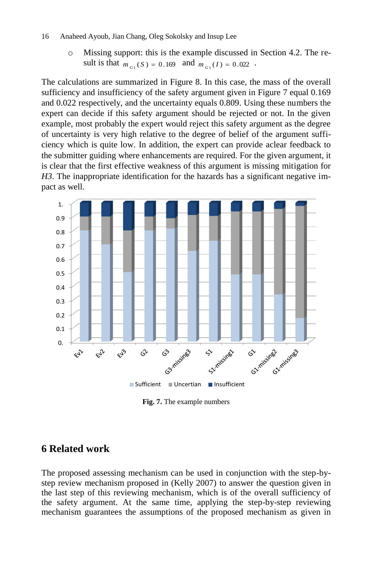#### 16 Anaheed Ayoub, Jian Chang, Oleg Sokolsky and Insup Lee

o Missing support: this is the example discussed in Section 4.2. The result is that  $m_{G_1}(S) = 0.169$  and  $m_{G_1}(I) = 0.022$ .

The calculations are summarized in Figure 8. In this case, the mass of the overall sufficiency and insufficiency of the safety argument given in Figure 7 equal 0.169 and 0.022 respectively, and the uncertainty equals 0.809. Using these numbers the expert can decide if this safety argument should be rejected or not. In the given example, most probably the expert would reject this safety argument as the degree of uncertainty is very high relative to the degree of belief of the argument sufficiency which is quite low. In addition, the expert can provide aclear feedback to the submitter guiding where enhancements are required. For the given argument, it is clear that the first effective weakness of this argument is missing mitigation for *H3*. The inappropriate identification for the hazards has a significant negative impact as well.



**Fig. 7.** The example numbers

## **6 Related work**

The proposed assessing mechanism can be used in conjunction with the step-bystep review mechanism proposed in (Kelly 2007) to answer the question given in the last step of this reviewing mechanism, which is of the overall sufficiency of the safety argument. At the same time, applying the step-by-step reviewing mechanism guarantees the assumptions of the proposed mechanism as given in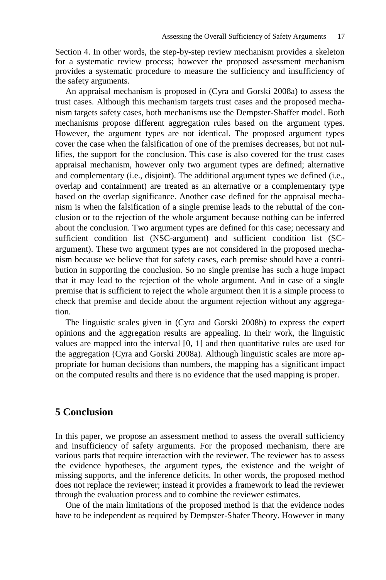Section 4. In other words, the step-by-step review mechanism provides a skeleton for a systematic review process; however the proposed assessment mechanism provides a systematic procedure to measure the sufficiency and insufficiency of the safety arguments.

An appraisal mechanism is proposed in (Cyra and Gorski 2008a) to assess the trust cases. Although this mechanism targets trust cases and the proposed mechanism targets safety cases, both mechanisms use the Dempster-Shaffer model. Both mechanisms propose different aggregation rules based on the argument types. However, the argument types are not identical. The proposed argument types cover the case when the falsification of one of the premises decreases, but not nullifies, the support for the conclusion. This case is also covered for the trust cases appraisal mechanism, however only two argument types are defined; alternative and complementary (i.e., disjoint). The additional argument types we defined (i.e., overlap and containment) are treated as an alternative or a complementary type based on the overlap significance. Another case defined for the appraisal mechanism is when the falsification of a single premise leads to the rebuttal of the conclusion or to the rejection of the whole argument because nothing can be inferred about the conclusion. Two argument types are defined for this case; necessary and sufficient condition list (NSC-argument) and sufficient condition list (SCargument). These two argument types are not considered in the proposed mechanism because we believe that for safety cases, each premise should have a contribution in supporting the conclusion. So no single premise has such a huge impact that it may lead to the rejection of the whole argument. And in case of a single premise that is sufficient to reject the whole argument then it is a simple process to check that premise and decide about the argument rejection without any aggregation.

The linguistic scales given in (Cyra and Gorski 2008b) to express the expert opinions and the aggregation results are appealing. In their work, the linguistic values are mapped into the interval [0, 1] and then quantitative rules are used for the aggregation (Cyra and Gorski 2008a). Although linguistic scales are more appropriate for human decisions than numbers, the mapping has a significant impact on the computed results and there is no evidence that the used mapping is proper.

### **5 Conclusion**

In this paper, we propose an assessment method to assess the overall sufficiency and insufficiency of safety arguments. For the proposed mechanism, there are various parts that require interaction with the reviewer. The reviewer has to assess the evidence hypotheses, the argument types, the existence and the weight of missing supports, and the inference deficits. In other words, the proposed method does not replace the reviewer; instead it provides a framework to lead the reviewer through the evaluation process and to combine the reviewer estimates.

One of the main limitations of the proposed method is that the evidence nodes have to be independent as required by Dempster-Shafer Theory. However in many